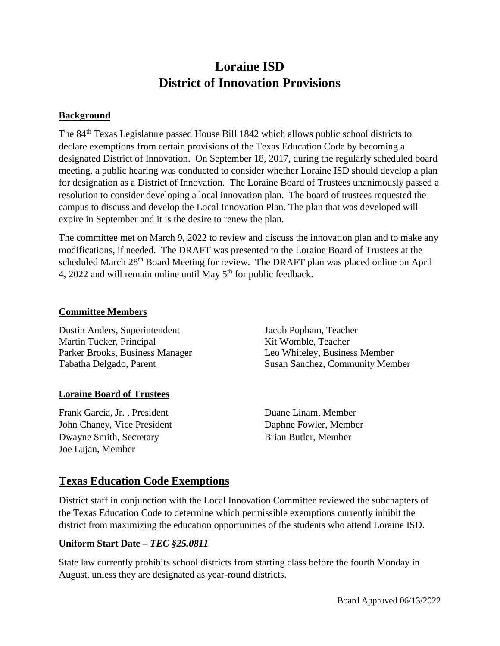# **Loraine ISD District of Innovation Provisions**

#### **Background**

The 84th Texas Legislature passed House Bill 1842 which allows public school districts to declare exemptions from certain provisions of the Texas Education Code by becoming a designated District of Innovation. On September 18, 2017, during the regularly scheduled board meeting, a public hearing was conducted to consider whether Loraine ISD should develop a plan for designation as a District of Innovation. The Loraine Board of Trustees unanimously passed a resolution to consider developing a local innovation plan. The board of trustees requested the campus to discuss and develop the Local Innovation Plan. The plan that was developed will expire in September and it is the desire to renew the plan.

The committee met on March 9, 2022 to review and discuss the innovation plan and to make any modifications, if needed. The DRAFT was presented to the Loraine Board of Trustees at the scheduled March 28<sup>th</sup> Board Meeting for review. The DRAFT plan was placed online on April 4, 2022 and will remain online until May  $5<sup>th</sup>$  for public feedback.

#### **Committee Members**

Dustin Anders, Superintendent Martin Tucker, Principal Parker Brooks, Business Manager Tabatha Delgado, Parent

## **Loraine Board of Trustees**

Frank Garcia, Jr. , President John Chaney, Vice President Dwayne Smith, Secretary Joe Lujan, Member

Jacob Popham, Teacher Kit Womble, Teacher Leo Whiteley, Business Member Susan Sanchez, Community Member

Duane Linam, Member Daphne Fowler, Member Brian Butler, Member

# **Texas Education Code Exemptions**

District staff in conjunction with the Local Innovation Committee reviewed the subchapters of the Texas Education Code to determine which permissible exemptions currently inhibit the district from maximizing the education opportunities of the students who attend Loraine ISD.

## **Uniform Start Date –** *TEC §25.0811*

State law currently prohibits school districts from starting class before the fourth Monday in August, unless they are designated as year-round districts.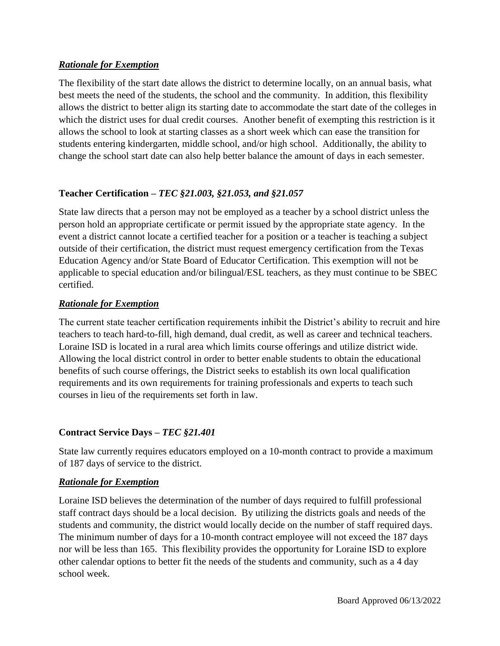## *Rationale for Exemption*

The flexibility of the start date allows the district to determine locally, on an annual basis, what best meets the need of the students, the school and the community. In addition, this flexibility allows the district to better align its starting date to accommodate the start date of the colleges in which the district uses for dual credit courses. Another benefit of exempting this restriction is it allows the school to look at starting classes as a short week which can ease the transition for students entering kindergarten, middle school, and/or high school. Additionally, the ability to change the school start date can also help better balance the amount of days in each semester.

## **Teacher Certification –** *TEC §21.003, §21.053, and §21.057*

State law directs that a person may not be employed as a teacher by a school district unless the person hold an appropriate certificate or permit issued by the appropriate state agency. In the event a district cannot locate a certified teacher for a position or a teacher is teaching a subject outside of their certification, the district must request emergency certification from the Texas Education Agency and/or State Board of Educator Certification. This exemption will not be applicable to special education and/or bilingual/ESL teachers, as they must continue to be SBEC certified.

## *Rationale for Exemption*

The current state teacher certification requirements inhibit the District's ability to recruit and hire teachers to teach hard-to-fill, high demand, dual credit, as well as career and technical teachers. Loraine ISD is located in a rural area which limits course offerings and utilize district wide. Allowing the local district control in order to better enable students to obtain the educational benefits of such course offerings, the District seeks to establish its own local qualification requirements and its own requirements for training professionals and experts to teach such courses in lieu of the requirements set forth in law.

## **Contract Service Days –** *TEC §21.401*

State law currently requires educators employed on a 10-month contract to provide a maximum of 187 days of service to the district.

## *Rationale for Exemption*

Loraine ISD believes the determination of the number of days required to fulfill professional staff contract days should be a local decision. By utilizing the districts goals and needs of the students and community, the district would locally decide on the number of staff required days. The minimum number of days for a 10-month contract employee will not exceed the 187 days nor will be less than 165. This flexibility provides the opportunity for Loraine ISD to explore other calendar options to better fit the needs of the students and community, such as a 4 day school week.